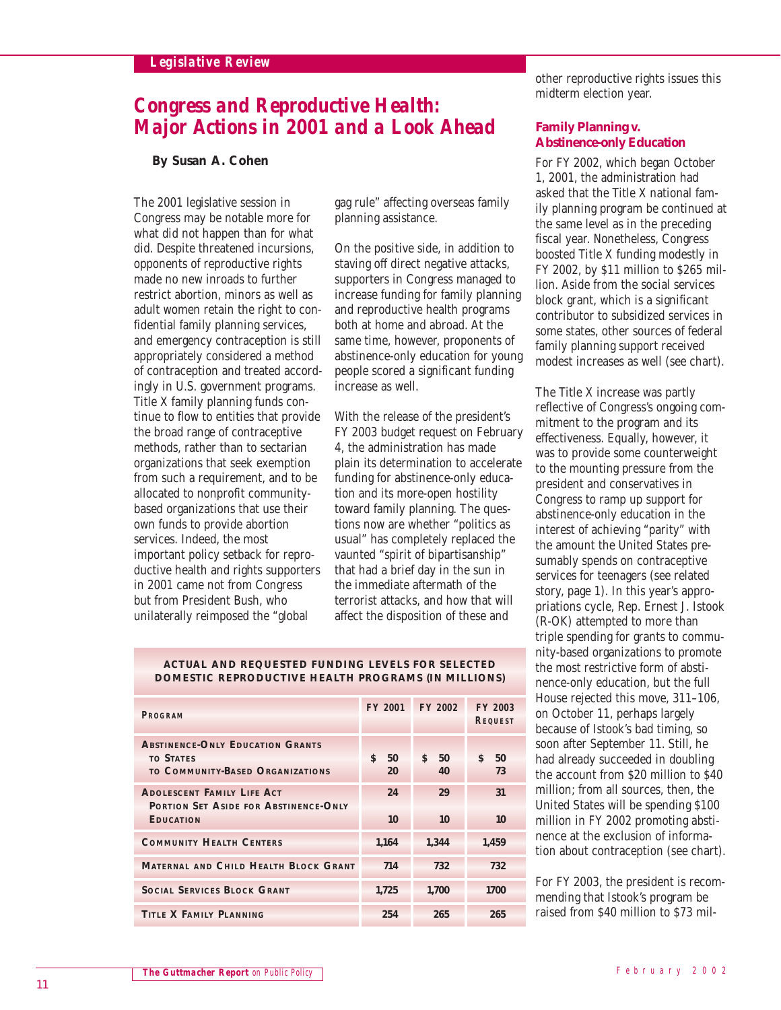# *Legislative Review*

# *Congress and Reproductive Health: Major Actions in 2001 and a Look Ahead*

### **By Susan A. Cohen**

The 2001 legislative session in Congress may be notable more for what did not happen than for what did. Despite threatened incursions, opponents of reproductive rights made no new inroads to further restrict abortion, minors as well as adult women retain the right to confidential family planning services, and emergency contraception is still appropriately considered a method of contraception and treated accordingly in U.S. government programs. Title X family planning funds continue to flow to entities that provide the broad range of contraceptive methods, rather than to sectarian organizations that seek exemption from such a requirement, and to be allocated to nonprofit communitybased organizations that use their own funds to provide abortion services. Indeed, the most important policy setback for reproductive health and rights supporters in 2001 came not from Congress but from President Bush, who unilaterally reimposed the "global

gag rule" affecting overseas family planning assistance.

On the positive side, in addition to staving off direct negative attacks, supporters in Congress managed to increase funding for family planning and reproductive health programs both at home and abroad. At the same time, however, proponents of abstinence-only education for young people scored a significant funding increase as well.

With the release of the president's FY 2003 budget request on February 4, the administration has made plain its determination to accelerate funding for abstinence-only education and its more-open hostility toward family planning. The questions now are whether "politics as usual" has completely replaced the vaunted "spirit of bipartisanship" that had a brief day in the sun in the immediate aftermath of the terrorist attacks, and how that will affect the disposition of these and

other reproductive rights issues this midterm election year.

#### **Family Planning v. Abstinence-only Education**

For FY 2002, which began October 1, 2001, the administration had asked that the Title X national family planning program be continued at the same level as in the preceding fiscal year. Nonetheless, Congress boosted Title X funding modestly in FY 2002, by \$11 million to \$265 million. Aside from the social services block grant, which is a significant contributor to subsidized services in some states, other sources of federal family planning support received modest increases as well (see chart).

The Title X increase was partly reflective of Congress's ongoing commitment to the program and its effectiveness. Equally, however, it was to provide some counterweight to the mounting pressure from the president and conservatives in Congress to ramp up support for abstinence-only education in the interest of achieving "parity" with the amount the United States presumably spends on contraceptive services for teenagers (see related story, page 1). In this year's appropriations cycle, Rep. Ernest J. Istook (R-OK) attempted to more than triple spending for grants to community-based organizations to promote the most restrictive form of abstinence-only education, but the full House rejected this move, 311–106, on October 11, perhaps largely because of Istook's bad timing, so soon after September 11. Still, he had already succeeded in doubling the account from \$20 million to \$40 million; from all sources, then, the United States will be spending \$100 million in FY 2002 promoting abstinence at the exclusion of information about contraception (see chart).

For FY 2003, the president is recommending that Istook's program be raised from \$40 million to \$73 mil-

| <b>PROGRAM</b>                                                                                        | <b>FY 2001</b> | <b>FY 2002</b> | <b>FY 2003</b><br><b>REQUEST</b> |
|-------------------------------------------------------------------------------------------------------|----------------|----------------|----------------------------------|
| <b>ABSTINENCE-ONLY EDUCATION GRANTS</b><br><b>TO STATES</b><br>TO COMMUNITY-BASED ORGANIZATIONS       | Š.<br>50<br>20 | S.<br>50<br>40 | S.<br>50<br>73                   |
| <b>ADOLESCENT FAMILY LIFE ACT</b><br><b>PORTION SET ASIDE FOR ABSTINENCE-ONLY</b><br><b>EDUCATION</b> | 24<br>10       | 29<br>10       | 31<br>10                         |
| <b>COMMUNITY HEALTH CENTERS</b>                                                                       | 1.164          | 1,344          | 1,459                            |
| MATERNAL AND CHILD HEALTH BLOCK GRANT                                                                 | 714            | 732            | 732                              |
| <b>SOCIAL SERVICES BLOCK GRANT</b>                                                                    | 1,725          | 1.700          | 1700                             |
| <b>TITLE X FAMILY PLANNING</b>                                                                        | 254            | 265            | 265                              |

#### **ACTUAL AND REQUESTED FUNDING LEVELS FOR SELECTED DOMESTIC REPRODUCTIVE HEALTH PROGRAMS (IN MILLIONS)**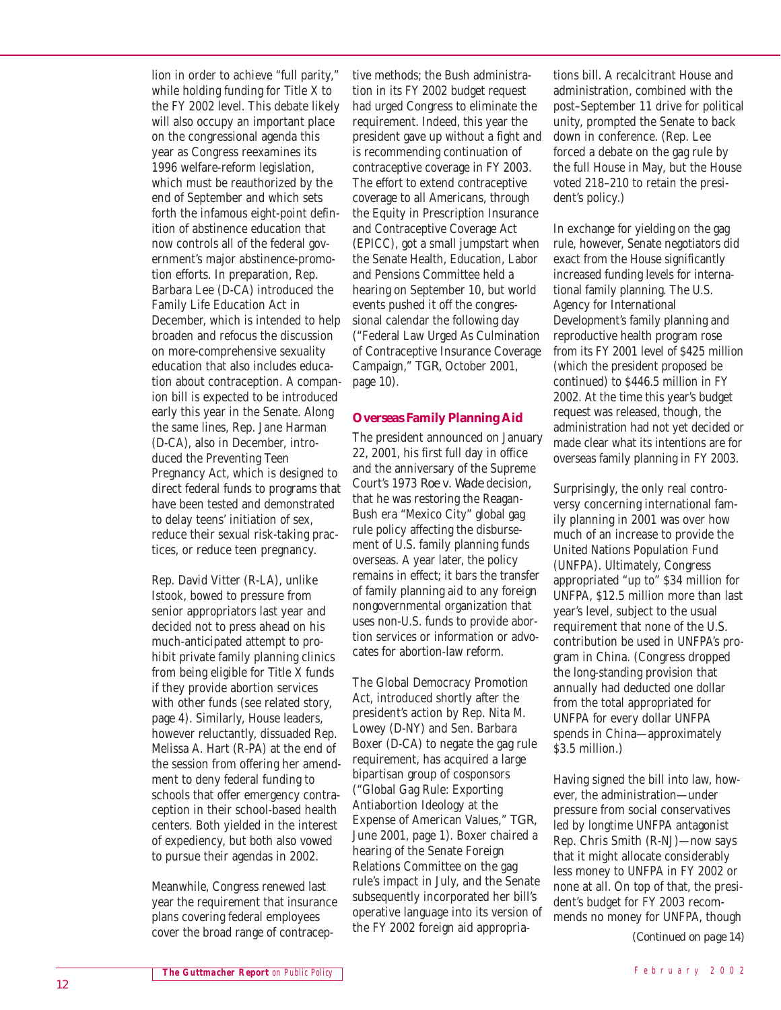lion in order to achieve "full parity," while holding funding for Title X to the FY 2002 level. This debate likely will also occupy an important place on the congressional agenda this year as Congress reexamines its 1996 welfare-reform legislation, which must be reauthorized by the end of September and which sets forth the infamous eight-point definition of abstinence education that now controls all of the federal government's major abstinence-promotion efforts. In preparation, Rep. Barbara Lee (D-CA) introduced the Family Life Education Act in December, which is intended to help broaden and refocus the discussion on more-comprehensive sexuality education that also includes education about contraception. A companion bill is expected to be introduced early this year in the Senate. Along the same lines, Rep. Jane Harman (D-CA), also in December, introduced the Preventing Teen Pregnancy Act, which is designed to direct federal funds to programs that have been tested and demonstrated to delay teens' initiation of sex, reduce their sexual risk-taking practices, or reduce teen pregnancy.

Rep. David Vitter (R-LA), unlike Istook, bowed to pressure from senior appropriators last year and decided not to press ahead on his much-anticipated attempt to prohibit private family planning clinics from being eligible for Title X funds if they provide abortion services with other funds (see related story, page 4). Similarly, House leaders, however reluctantly, dissuaded Rep. Melissa A. Hart (R-PA) at the end of the session from offering her amendment to deny federal funding to schools that offer emergency contraception in their school-based health centers. Both yielded in the interest of expediency, but both also vowed to pursue their agendas in 2002.

Meanwhile, Congress renewed last year the requirement that insurance plans covering federal employees cover the broad range of contracep-

tive methods; the Bush administration in its FY 2002 budget request had urged Congress to eliminate the requirement. Indeed, this year the president gave up without a fight and is recommending continuation of contraceptive coverage in FY 2003. The effort to extend contraceptive coverage to all Americans, through the Equity in Prescription Insurance and Contraceptive Coverage Act (EPICC), got a small jumpstart when the Senate Health, Education, Labor and Pensions Committee held a hearing on September 10, but world events pushed it off the congressional calendar the following day ("Federal Law Urged As Culmination of Contraceptive Insurance Coverage Campaign," *TGR,* October 2001, page 10).

## **Overseas Family Planning Aid**

The president announced on January 22, 2001, his first full day in office and the anniversary of the Supreme Court's 1973 *Roe v. Wade* decision, that he was restoring the Reagan-Bush era "Mexico City" global gag rule policy affecting the disbursement of U.S. family planning funds overseas. A year later, the policy remains in effect; it bars the transfer of family planning aid to any foreign nongovernmental organization that uses non-U.S. funds to provide abortion services or information or advocates for abortion-law reform.

The Global Democracy Promotion Act, introduced shortly after the president's action by Rep. Nita M. Lowey (D-NY) and Sen. Barbara Boxer (D-CA) to negate the gag rule requirement, has acquired a large bipartisan group of cosponsors ("Global Gag Rule: Exporting Antiabortion Ideology at the Expense of American Values," *TGR,* June 2001, page 1). Boxer chaired a hearing of the Senate Foreign Relations Committee on the gag rule's impact in July, and the Senate subsequently incorporated her bill's operative language into its version of the FY 2002 foreign aid appropria-

tions bill. A recalcitrant House and administration, combined with the post–September 11 drive for political unity, prompted the Senate to back down in conference. (Rep. Lee forced a debate on the gag rule by the full House in May, but the House voted 218–210 to retain the president's policy.)

In exchange for yielding on the gag rule, however, Senate negotiators did exact from the House significantly increased funding levels for international family planning. The U.S. Agency for International Development's family planning and reproductive health program rose from its FY 2001 level of \$425 million (which the president proposed be continued) to \$446.5 million in FY 2002. At the time this year's budget request was released, though, the administration had not yet decided or made clear what its intentions are for overseas family planning in FY 2003.

Surprisingly, the only real controversy concerning international family planning in 2001 was over how much of an increase to provide the United Nations Population Fund (UNFPA). Ultimately, Congress appropriated "up to" \$34 million for UNFPA, \$12.5 million more than last year's level, subject to the usual requirement that none of the U.S. contribution be used in UNFPA's program in China. (Congress dropped the long-standing provision that annually had deducted one dollar from the total appropriated for UNFPA for every dollar UNFPA spends in China—approximately \$3.5 million.)

Having signed the bill into law, however, the administration—under pressure from social conservatives led by longtime UNFPA antagonist Rep. Chris Smith (R-NJ)—now says that it might allocate considerably less money to UNFPA in FY 2002 or none at all. On top of that, the president's budget for FY 2003 recommends no money for UNFPA, though

*(Continued on page 14)*